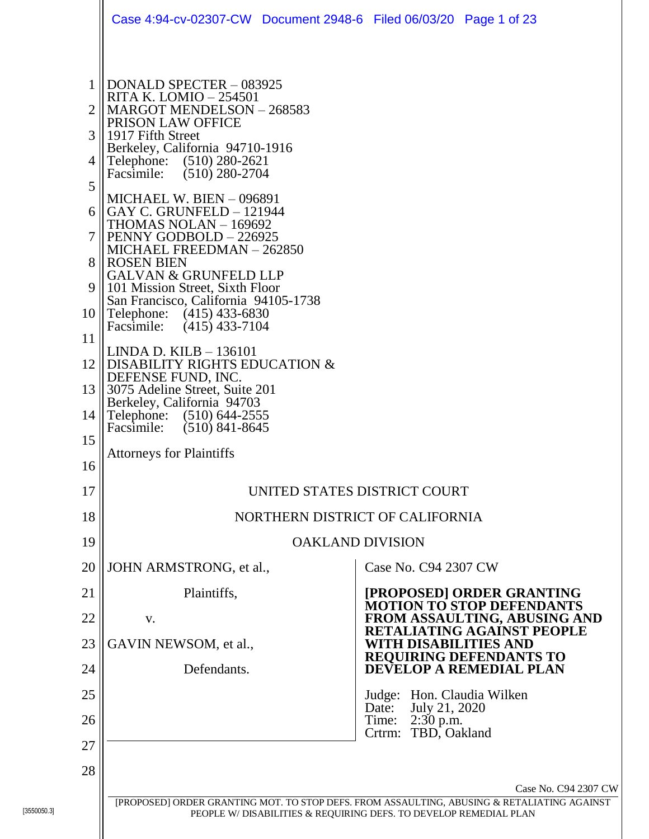|                                                                            | Case 4:94-cv-02307-CW  Document 2948-6  Filed 06/03/20  Page 1 of 23                                                                                                                                                                                                                                                                                                                                                                                                                                                                                                                                                                                                                                                                                                                                                   |  |                                                      |                                                                                                |  |  |  |
|----------------------------------------------------------------------------|------------------------------------------------------------------------------------------------------------------------------------------------------------------------------------------------------------------------------------------------------------------------------------------------------------------------------------------------------------------------------------------------------------------------------------------------------------------------------------------------------------------------------------------------------------------------------------------------------------------------------------------------------------------------------------------------------------------------------------------------------------------------------------------------------------------------|--|------------------------------------------------------|------------------------------------------------------------------------------------------------|--|--|--|
| 2<br>3<br>4<br>5<br>8<br>9<br>10<br>11<br>12<br>13<br>14<br>15<br>16<br>17 | DONALD SPECTER - 083925<br>RITA K. LOMIO – 254501<br>MARGOT MENDELSON - 268583<br><b>PRISON LAW OFFICE</b><br>1917 Fifth Street<br>Berkeley, California 94710-1916<br>Telephone: (510) 280-2621<br>Facsimile: (510) 280-2704<br>MICHAEL W. BIEN $-$ 096891<br>GAY C. GRUNFELD - 121944<br>THOMAS NOLAN - 169692<br>PENNY GODBOLD - 226925<br>MICHAEL FREEDMAN $- 262850$<br><b>ROSEN BIEN</b><br><b>GALVAN &amp; GRUNFELD LLP</b><br>101 Mission Street, Sixth Floor<br>San Francisco, California 94105-1738<br>Telephone: (415) 433-6830<br>Facsimile: (415) 433-7104<br>$LINDA D. KILB - 136101$<br>DISABILITY RIGHTS EDUCATION &<br>DEFENSE FUND, INC.<br>3075 Adeline Street, Suite 201<br>Berkeley, California 94703<br>Telephone: (510) 644-2555<br>Facsimile: (510) 841-8645<br><b>Attorneys for Plaintiffs</b> |  | UNITED STATES DISTRICT COURT                         |                                                                                                |  |  |  |
| 18                                                                         |                                                                                                                                                                                                                                                                                                                                                                                                                                                                                                                                                                                                                                                                                                                                                                                                                        |  | NORTHERN DISTRICT OF CALIFORNIA                      |                                                                                                |  |  |  |
| 19                                                                         | <b>OAKLAND DIVISION</b>                                                                                                                                                                                                                                                                                                                                                                                                                                                                                                                                                                                                                                                                                                                                                                                                |  |                                                      |                                                                                                |  |  |  |
| 20                                                                         | JOHN ARMSTRONG, et al.,                                                                                                                                                                                                                                                                                                                                                                                                                                                                                                                                                                                                                                                                                                                                                                                                |  | Case No. C94 2307 CW                                 |                                                                                                |  |  |  |
| 21                                                                         | Plaintiffs,                                                                                                                                                                                                                                                                                                                                                                                                                                                                                                                                                                                                                                                                                                                                                                                                            |  |                                                      | [PROPOSED] ORDER GRANTING                                                                      |  |  |  |
| 22                                                                         | V.                                                                                                                                                                                                                                                                                                                                                                                                                                                                                                                                                                                                                                                                                                                                                                                                                     |  |                                                      | <b>MOTION TO STOP DEFENDANTS</b><br>FROM ASSAULTING, ABUSING AND                               |  |  |  |
| 23                                                                         | GAVIN NEWSOM, et al.,                                                                                                                                                                                                                                                                                                                                                                                                                                                                                                                                                                                                                                                                                                                                                                                                  |  | WITH DISABILITIES AND                                | <b>RETALIATING AGAINST PEOPLE</b><br><b>REQUIRING DEFENDANTS TO</b><br>DEVELOP A REMEDIAL PLAN |  |  |  |
| 24                                                                         | Defendants.                                                                                                                                                                                                                                                                                                                                                                                                                                                                                                                                                                                                                                                                                                                                                                                                            |  |                                                      |                                                                                                |  |  |  |
| 25                                                                         |                                                                                                                                                                                                                                                                                                                                                                                                                                                                                                                                                                                                                                                                                                                                                                                                                        |  | Judge: Hon. Claudia Wilken<br>July 21, 2020<br>Date: |                                                                                                |  |  |  |
| 26                                                                         |                                                                                                                                                                                                                                                                                                                                                                                                                                                                                                                                                                                                                                                                                                                                                                                                                        |  | Time:<br>$2:30$ p.m.<br>TBD, Oakland<br>Crtrm:       |                                                                                                |  |  |  |
| 27                                                                         |                                                                                                                                                                                                                                                                                                                                                                                                                                                                                                                                                                                                                                                                                                                                                                                                                        |  |                                                      |                                                                                                |  |  |  |
| 28                                                                         |                                                                                                                                                                                                                                                                                                                                                                                                                                                                                                                                                                                                                                                                                                                                                                                                                        |  |                                                      |                                                                                                |  |  |  |
|                                                                            | [PROPOSED] ORDER GRANTING MOT. TO STOP DEFS. FROM ASSAULTING, ABUSING & RETALIATING AGAINST                                                                                                                                                                                                                                                                                                                                                                                                                                                                                                                                                                                                                                                                                                                            |  |                                                      | Case No. C94 2307 CW                                                                           |  |  |  |
|                                                                            | PEOPLE W/ DISABILITIES & REQUIRING DEFS. TO DEVELOP REMEDIAL PLAN                                                                                                                                                                                                                                                                                                                                                                                                                                                                                                                                                                                                                                                                                                                                                      |  |                                                      |                                                                                                |  |  |  |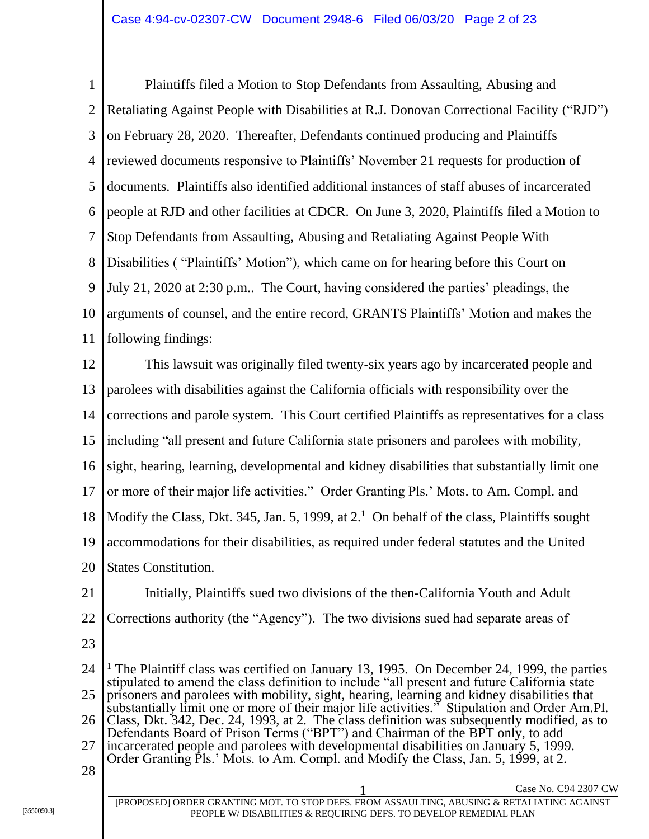1 2 3 4 5 6 7 8 9 10 11 Plaintiffs filed a Motion to Stop Defendants from Assaulting, Abusing and Retaliating Against People with Disabilities at R.J. Donovan Correctional Facility ("RJD") on February 28, 2020. Thereafter, Defendants continued producing and Plaintiffs reviewed documents responsive to Plaintiffs' November 21 requests for production of documents. Plaintiffs also identified additional instances of staff abuses of incarcerated people at RJD and other facilities at CDCR. On June 3, 2020, Plaintiffs filed a Motion to Stop Defendants from Assaulting, Abusing and Retaliating Against People With Disabilities ( "Plaintiffs' Motion"), which came on for hearing before this Court on July 21, 2020 at 2:30 p.m.. The Court, having considered the parties' pleadings, the arguments of counsel, and the entire record, GRANTS Plaintiffs' Motion and makes the following findings:

12 13 14 15 16 17 18 19 20 This lawsuit was originally filed twenty-six years ago by incarcerated people and parolees with disabilities against the California officials with responsibility over the corrections and parole system. This Court certified Plaintiffs as representatives for a class including "all present and future California state prisoners and parolees with mobility, sight, hearing, learning, developmental and kidney disabilities that substantially limit one or more of their major life activities." Order Granting Pls.' Mots. to Am. Compl. and Modify the Class, Dkt. 345, Jan. 5, 1999, at 2.<sup>1</sup> On behalf of the class, Plaintiffs sought accommodations for their disabilities, as required under federal statutes and the United States Constitution.

21 22 Initially, Plaintiffs sued two divisions of the then-California Youth and Adult Corrections authority (the "Agency"). The two divisions sued had separate areas of

23

24 25 26 27 28  $\overline{a}$ <sup>1</sup> The Plaintiff class was certified on January 13, 1995. On December 24, 1999, the parties stipulated to amend the class definition to include "all present and future California state prisoners and parolees with mobility, sight, hearing, learning and kidney disabilities that substantially limit one or more of their major life activities." Stipulation and Order Am.Pl. Class, Dkt. 342, Dec. 24, 1993, at 2. The class definition was subsequently modified, as to Defendants Board of Prison Terms ("BPT") and Chairman of the BPT only, to add incarcerated people and parolees with developmental disabilities on January 5, 1999. Order Granting Pls.' Mots. to Am. Compl. and Modify the Class, Jan. 5, 1999, at 2.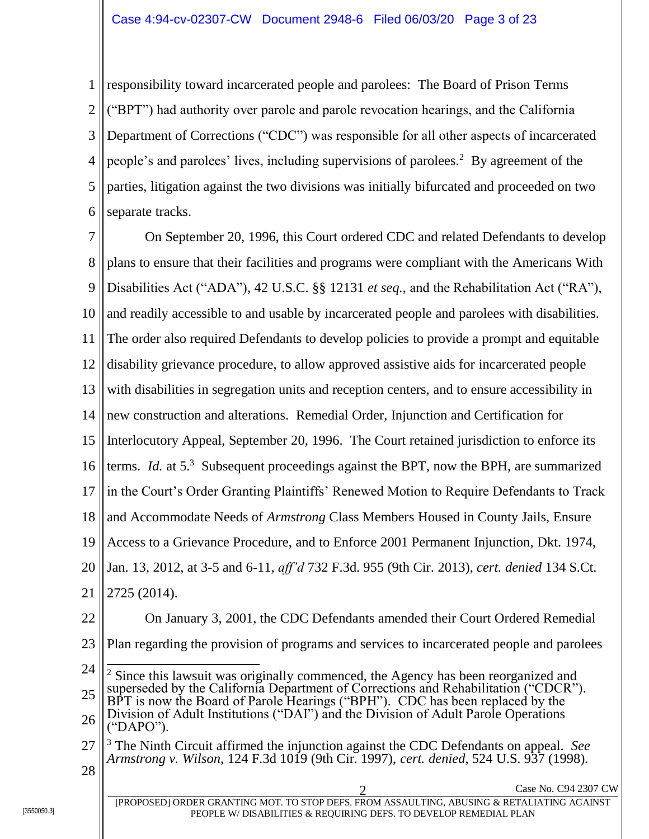1 2 3 4 5 6 responsibility toward incarcerated people and parolees: The Board of Prison Terms ("BPT") had authority over parole and parole revocation hearings, and the California Department of Corrections ("CDC") was responsible for all other aspects of incarcerated people's and parolees' lives, including supervisions of parolees.<sup>2</sup> By agreement of the parties, litigation against the two divisions was initially bifurcated and proceeded on two separate tracks.

7 8 9 10 11 12 13 14 15 16 17 18 19 20 21 22 On September 20, 1996, this Court ordered CDC and related Defendants to develop plans to ensure that their facilities and programs were compliant with the Americans With Disabilities Act ("ADA"), 42 U.S.C. §§ 12131 *et seq.*, and the Rehabilitation Act ("RA"), and readily accessible to and usable by incarcerated people and parolees with disabilities. The order also required Defendants to develop policies to provide a prompt and equitable disability grievance procedure, to allow approved assistive aids for incarcerated people with disabilities in segregation units and reception centers, and to ensure accessibility in new construction and alterations. Remedial Order, Injunction and Certification for Interlocutory Appeal, September 20, 1996. The Court retained jurisdiction to enforce its terms. *Id.* at 5.<sup>3</sup> Subsequent proceedings against the BPT, now the BPH, are summarized in the Court's Order Granting Plaintiffs' Renewed Motion to Require Defendants to Track and Accommodate Needs of *Armstrong* Class Members Housed in County Jails, Ensure Access to a Grievance Procedure, and to Enforce 2001 Permanent Injunction, Dkt. 1974, Jan. 13, 2012, at 3-5 and 6-11, *aff'd* 732 F.3d. 955 (9th Cir. 2013), *cert. denied* 134 S.Ct. 2725 (2014). On January 3, 2001, the CDC Defendants amended their Court Ordered Remedial

- 23 Plan regarding the provision of programs and services to incarcerated people and parolees
- 24 25  $\overline{a}$ <sup>2</sup> Since this lawsuit was originally commenced, the Agency has been reorganized and superseded by the California Department of Corrections and Rehabilitation ("CDCR"). BPT is now the Board of Parole Hearings ("BPH"). CDC has been replaced by the
- 26 Division of Adult Institutions ("DAI") and the Division of Adult Parole Operations ("DAPO").
- 27 28 <sup>3</sup> The Ninth Circuit affirmed the injunction against the CDC Defendants on appeal. *See Armstrong v. Wilson*, 124 F.3d 1019 (9th Cir. 1997), *cert. denied*, 524 U.S. 937 (1998).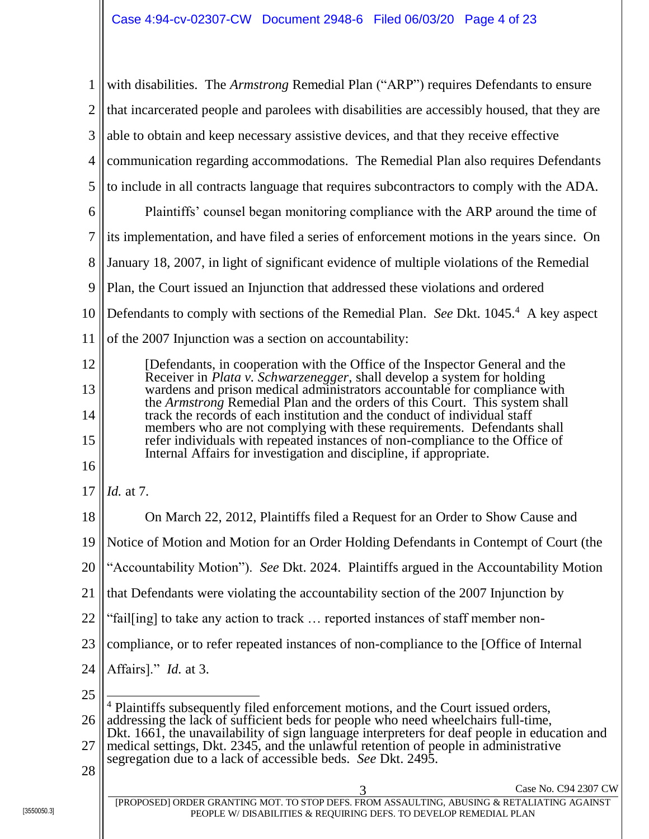1 2 3 4 5 6 7 8 9 10 11 12 13 14 15 16 17 18 19 20 21 22 23 24 25 26 with disabilities. The *Armstrong* Remedial Plan ("ARP") requires Defendants to ensure that incarcerated people and parolees with disabilities are accessibly housed, that they are able to obtain and keep necessary assistive devices, and that they receive effective communication regarding accommodations. The Remedial Plan also requires Defendants to include in all contracts language that requires subcontractors to comply with the ADA. Plaintiffs' counsel began monitoring compliance with the ARP around the time of its implementation, and have filed a series of enforcement motions in the years since. On January 18, 2007, in light of significant evidence of multiple violations of the Remedial Plan, the Court issued an Injunction that addressed these violations and ordered Defendants to comply with sections of the Remedial Plan. *See* Dkt. 1045.<sup>4</sup> A key aspect of the 2007 Injunction was a section on accountability: [Defendants, in cooperation with the Office of the Inspector General and the Receiver in *Plata v. Schwarzenegger*, shall develop a system for holding wardens and prison medical administrators accountable for compliance with the *Armstrong* Remedial Plan and the orders of this Court. This system shall track the records of each institution and the conduct of individual staff members who are not complying with these requirements. Defendants shall refer individuals with repeated instances of non-compliance to the Office of Internal Affairs for investigation and discipline, if appropriate. *Id.* at 7. On March 22, 2012, Plaintiffs filed a Request for an Order to Show Cause and Notice of Motion and Motion for an Order Holding Defendants in Contempt of Court (the "Accountability Motion"). *See* Dkt. 2024. Plaintiffs argued in the Accountability Motion that Defendants were violating the accountability section of the 2007 Injunction by "fail[ing] to take any action to track … reported instances of staff member noncompliance, or to refer repeated instances of non-compliance to the [Office of Internal Affairs]." *Id.* at 3.  $\overline{\phantom{a}}$ <sup>4</sup> Plaintiffs subsequently filed enforcement motions, and the Court issued orders, addressing the lack of sufficient beds for people who need wheelchairs full-time, Dkt. 1661, the unavailability of sign language interpreters for deaf people in education and

27 28 medical settings, Dkt. 2345, and the unlawful retention of people in administrative segregation due to a lack of accessible beds. *See* Dkt. 2495.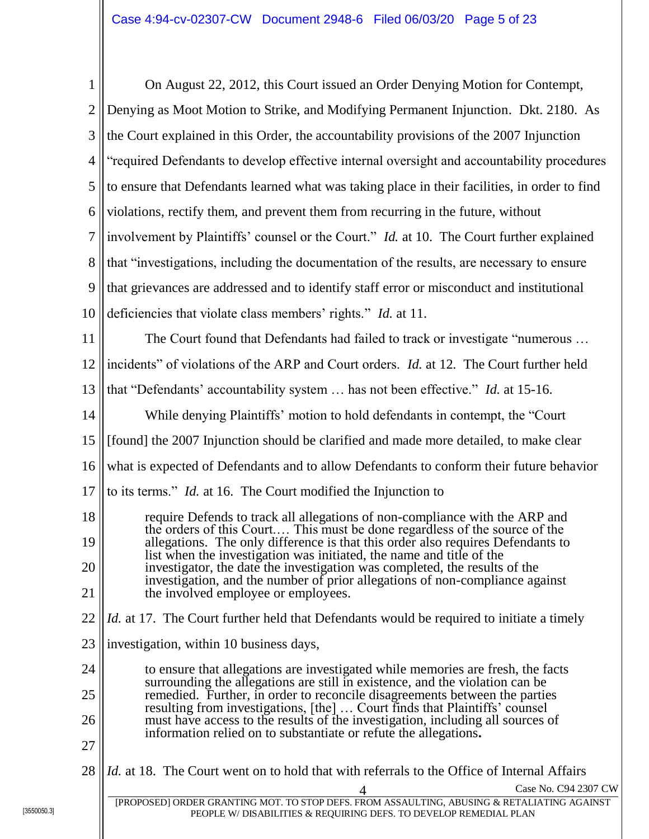| $\mathbf{1}$   | On August 22, 2012, this Court issued an Order Denying Motion for Contempt,                                                                                  |  |  |  |  |  |  |
|----------------|--------------------------------------------------------------------------------------------------------------------------------------------------------------|--|--|--|--|--|--|
| $\overline{2}$ | Denying as Moot Motion to Strike, and Modifying Permanent Injunction. Dkt. 2180. As                                                                          |  |  |  |  |  |  |
| 3              | the Court explained in this Order, the accountability provisions of the 2007 Injunction                                                                      |  |  |  |  |  |  |
| 4              | "required Defendants to develop effective internal oversight and accountability procedures                                                                   |  |  |  |  |  |  |
| 5              | to ensure that Defendants learned what was taking place in their facilities, in order to find                                                                |  |  |  |  |  |  |
| 6              | violations, rectify them, and prevent them from recurring in the future, without                                                                             |  |  |  |  |  |  |
| $\overline{7}$ | involvement by Plaintiffs' counsel or the Court." Id. at 10. The Court further explained                                                                     |  |  |  |  |  |  |
| 8              | that "investigations, including the documentation of the results, are necessary to ensure                                                                    |  |  |  |  |  |  |
| 9              | that grievances are addressed and to identify staff error or misconduct and institutional                                                                    |  |  |  |  |  |  |
| 10             | deficiencies that violate class members' rights." <i>Id.</i> at 11.                                                                                          |  |  |  |  |  |  |
| 11             | The Court found that Defendants had failed to track or investigate "numerous                                                                                 |  |  |  |  |  |  |
| 12             | incidents" of violations of the ARP and Court orders. <i>Id.</i> at 12. The Court further held                                                               |  |  |  |  |  |  |
| 13             | that "Defendants' accountability system  has not been effective." <i>Id.</i> at 15-16.                                                                       |  |  |  |  |  |  |
| 14             | While denying Plaintiffs' motion to hold defendants in contempt, the "Court"                                                                                 |  |  |  |  |  |  |
| 15             | [found] the 2007 Injunction should be clarified and made more detailed, to make clear                                                                        |  |  |  |  |  |  |
| 16             | what is expected of Defendants and to allow Defendants to conform their future behavior                                                                      |  |  |  |  |  |  |
| 17             | to its terms." <i>Id.</i> at 16. The Court modified the Injunction to                                                                                        |  |  |  |  |  |  |
| 18             | require Defends to track all allegations of non-compliance with the ARP and<br>the orders of this Court This must be done regardless of the source of the    |  |  |  |  |  |  |
| 19             | allegations. The only difference is that this order also requires Defendants to<br>list when the investigation was initiated, the name and title of the      |  |  |  |  |  |  |
| 20             | investigator, the date the investigation was completed, the results of the                                                                                   |  |  |  |  |  |  |
| 21             | investigation, and the number of prior allegations of non-compliance against<br>the involved employee or employees.                                          |  |  |  |  |  |  |
| 22             | <i>Id.</i> at 17. The Court further held that Defendants would be required to initiate a timely                                                              |  |  |  |  |  |  |
| 23             | investigation, within 10 business days,                                                                                                                      |  |  |  |  |  |  |
| 24             | to ensure that allegations are investigated while memories are fresh, the facts                                                                              |  |  |  |  |  |  |
| 25             | surrounding the allegations are still in existence, and the violation can be<br>remedied. Further, in order to reconcile disagreements between the parties   |  |  |  |  |  |  |
| 26             | resulting from investigations, [the]  Court finds that Plaintiffs' counsel<br>must have access to the results of the investigation, including all sources of |  |  |  |  |  |  |
| 27             | information relied on to substantiate or refute the allegations.                                                                                             |  |  |  |  |  |  |
| 28             | <i>Id.</i> at 18. The Court went on to hold that with referrals to the Office of Internal Affairs                                                            |  |  |  |  |  |  |
|                | Case No. C94 2307 CW<br>[PROPOSED] ORDER GRANTING MOT. TO STOP DEFS. FROM ASSAULTING, ABUSING & RETALIATING AGAINST                                          |  |  |  |  |  |  |
|                | PEOPLE W/ DISABILITIES & REQUIRING DEFS. TO DEVELOP REMEDIAL PLAN                                                                                            |  |  |  |  |  |  |
|                |                                                                                                                                                              |  |  |  |  |  |  |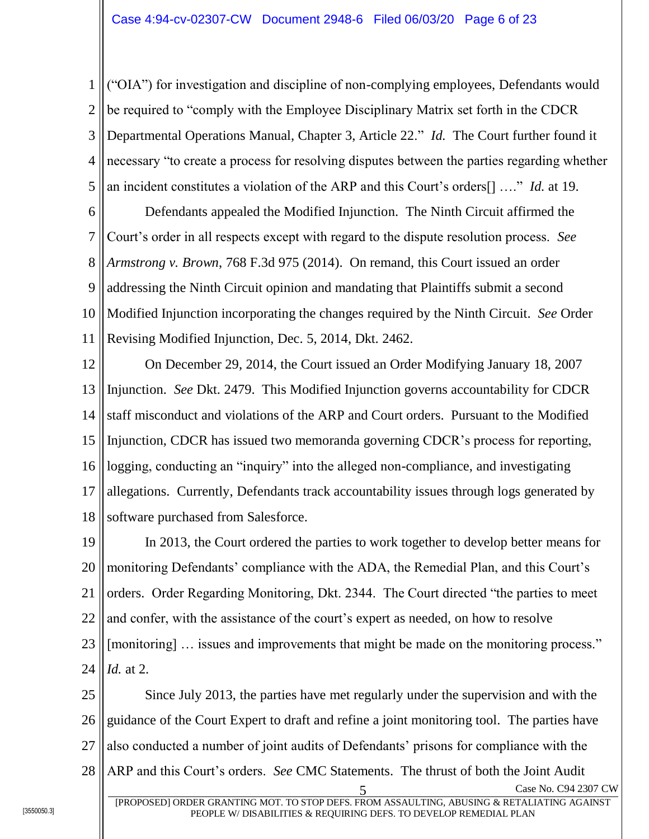1 2 3 4 5 ("OIA") for investigation and discipline of non-complying employees, Defendants would be required to "comply with the Employee Disciplinary Matrix set forth in the CDCR Departmental Operations Manual, Chapter 3, Article 22." *Id.* The Court further found it necessary "to create a process for resolving disputes between the parties regarding whether an incident constitutes a violation of the ARP and this Court's orders[] …." *Id.* at 19.

6 7 8 9 10 11 Defendants appealed the Modified Injunction. The Ninth Circuit affirmed the Court's order in all respects except with regard to the dispute resolution process. *See Armstrong v. Brown*, 768 F.3d 975 (2014). On remand, this Court issued an order addressing the Ninth Circuit opinion and mandating that Plaintiffs submit a second Modified Injunction incorporating the changes required by the Ninth Circuit. *See* Order Revising Modified Injunction, Dec. 5, 2014, Dkt. 2462.

12 13 14 15 16 17 18 On December 29, 2014, the Court issued an Order Modifying January 18, 2007 Injunction. *See* Dkt. 2479. This Modified Injunction governs accountability for CDCR staff misconduct and violations of the ARP and Court orders. Pursuant to the Modified Injunction, CDCR has issued two memoranda governing CDCR's process for reporting, logging, conducting an "inquiry" into the alleged non-compliance, and investigating allegations. Currently, Defendants track accountability issues through logs generated by software purchased from Salesforce.

19 20 21 22 23 24 In 2013, the Court ordered the parties to work together to develop better means for monitoring Defendants' compliance with the ADA, the Remedial Plan, and this Court's orders. Order Regarding Monitoring, Dkt. 2344. The Court directed "the parties to meet and confer, with the assistance of the court's expert as needed, on how to resolve [monitoring] ... issues and improvements that might be made on the monitoring process." *Id.* at 2.

25 26 27 28 5 Case No. C94 2307 CW Since July 2013, the parties have met regularly under the supervision and with the guidance of the Court Expert to draft and refine a joint monitoring tool. The parties have also conducted a number of joint audits of Defendants' prisons for compliance with the ARP and this Court's orders. *See* CMC Statements. The thrust of both the Joint Audit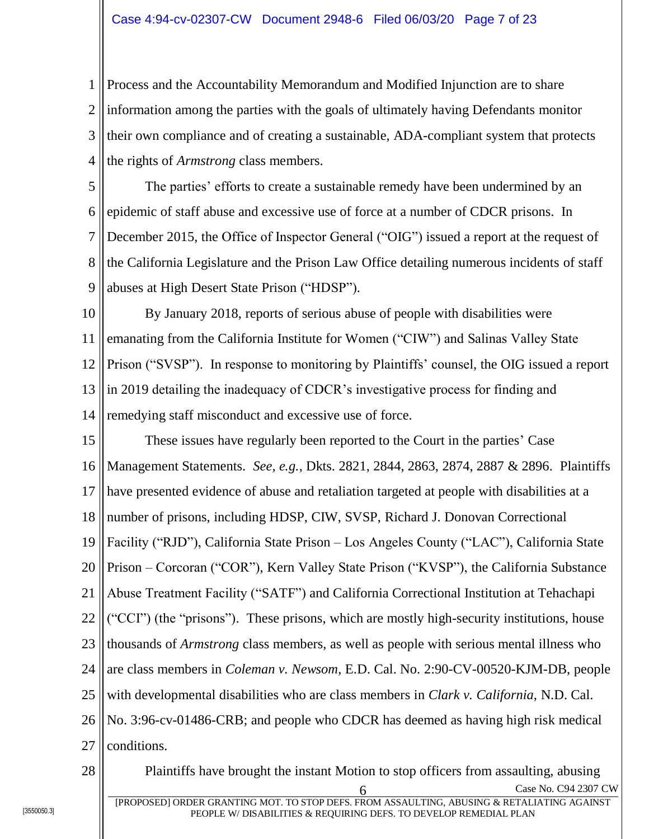1 2 3 4 Process and the Accountability Memorandum and Modified Injunction are to share information among the parties with the goals of ultimately having Defendants monitor their own compliance and of creating a sustainable, ADA-compliant system that protects the rights of *Armstrong* class members.

5 6 7 8 9 The parties' efforts to create a sustainable remedy have been undermined by an epidemic of staff abuse and excessive use of force at a number of CDCR prisons. In December 2015, the Office of Inspector General ("OIG") issued a report at the request of the California Legislature and the Prison Law Office detailing numerous incidents of staff abuses at High Desert State Prison ("HDSP").

10 11 12 13 14 By January 2018, reports of serious abuse of people with disabilities were emanating from the California Institute for Women ("CIW") and Salinas Valley State Prison ("SVSP"). In response to monitoring by Plaintiffs' counsel, the OIG issued a report in 2019 detailing the inadequacy of CDCR's investigative process for finding and remedying staff misconduct and excessive use of force.

15 16 17 18 19 20 21 22 23 24 25 26 27 These issues have regularly been reported to the Court in the parties' Case Management Statements. *See, e.g.*, Dkts. 2821, 2844, 2863, 2874, 2887 & 2896. Plaintiffs have presented evidence of abuse and retaliation targeted at people with disabilities at a number of prisons, including HDSP, CIW, SVSP, Richard J. Donovan Correctional Facility ("RJD"), California State Prison – Los Angeles County ("LAC"), California State Prison – Corcoran ("COR"), Kern Valley State Prison ("KVSP"), the California Substance Abuse Treatment Facility ("SATF") and California Correctional Institution at Tehachapi ("CCI") (the "prisons"). These prisons, which are mostly high-security institutions, house thousands of *Armstrong* class members, as well as people with serious mental illness who are class members in *Coleman v. Newsom*, E.D. Cal. No. 2:90-CV-00520-KJM-DB, people with developmental disabilities who are class members in *Clark v. California*, N.D. Cal. No. 3:96-cv-01486-CRB; and people who CDCR has deemed as having high risk medical conditions.

28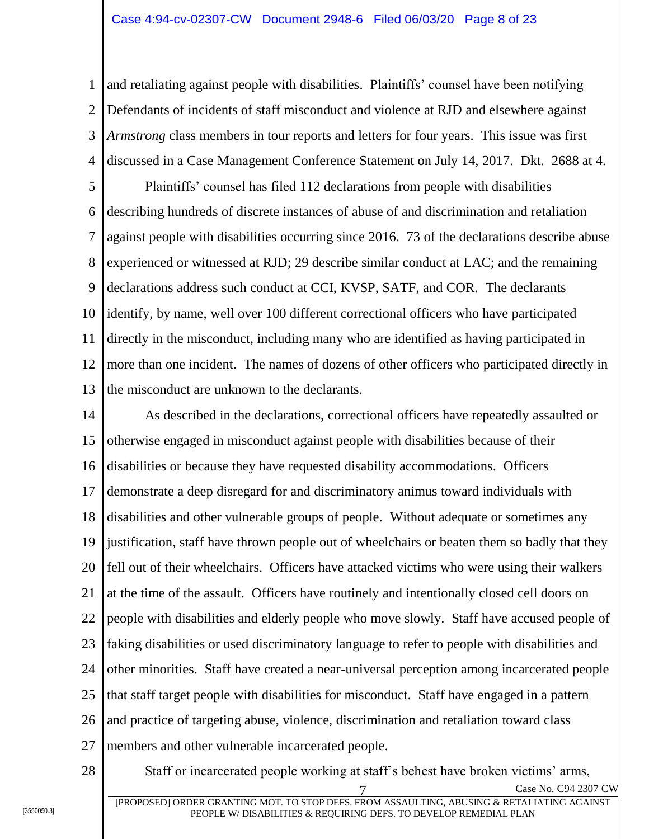1 2 3 4 and retaliating against people with disabilities. Plaintiffs' counsel have been notifying Defendants of incidents of staff misconduct and violence at RJD and elsewhere against *Armstrong* class members in tour reports and letters for four years. This issue was first discussed in a Case Management Conference Statement on July 14, 2017. Dkt. 2688 at 4.

5 6 7 8 9 10 11 12 13 Plaintiffs' counsel has filed 112 declarations from people with disabilities describing hundreds of discrete instances of abuse of and discrimination and retaliation against people with disabilities occurring since 2016. 73 of the declarations describe abuse experienced or witnessed at RJD; 29 describe similar conduct at LAC; and the remaining declarations address such conduct at CCI, KVSP, SATF, and COR. The declarants identify, by name, well over 100 different correctional officers who have participated directly in the misconduct, including many who are identified as having participated in more than one incident. The names of dozens of other officers who participated directly in the misconduct are unknown to the declarants.

14 15 16 17 18 19 20 21 22 23 24 25 26 27 As described in the declarations, correctional officers have repeatedly assaulted or otherwise engaged in misconduct against people with disabilities because of their disabilities or because they have requested disability accommodations. Officers demonstrate a deep disregard for and discriminatory animus toward individuals with disabilities and other vulnerable groups of people. Without adequate or sometimes any justification, staff have thrown people out of wheelchairs or beaten them so badly that they fell out of their wheelchairs. Officers have attacked victims who were using their walkers at the time of the assault. Officers have routinely and intentionally closed cell doors on people with disabilities and elderly people who move slowly. Staff have accused people of faking disabilities or used discriminatory language to refer to people with disabilities and other minorities. Staff have created a near-universal perception among incarcerated people that staff target people with disabilities for misconduct. Staff have engaged in a pattern and practice of targeting abuse, violence, discrimination and retaliation toward class members and other vulnerable incarcerated people.

28

Staff or incarcerated people working at staff's behest have broken victims' arms,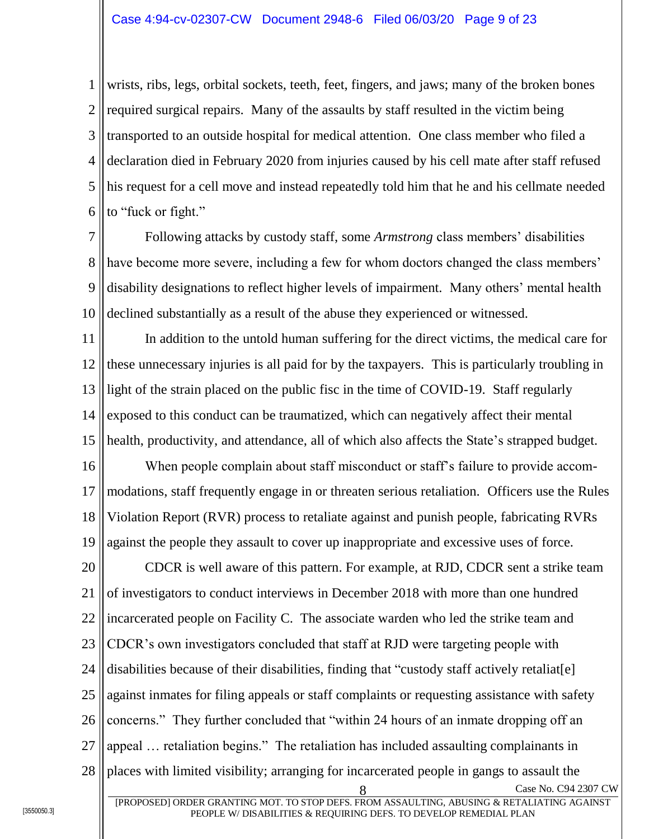1 2 3 4 5 6 wrists, ribs, legs, orbital sockets, teeth, feet, fingers, and jaws; many of the broken bones required surgical repairs. Many of the assaults by staff resulted in the victim being transported to an outside hospital for medical attention. One class member who filed a declaration died in February 2020 from injuries caused by his cell mate after staff refused his request for a cell move and instead repeatedly told him that he and his cellmate needed to "fuck or fight."

7 8 9 10 Following attacks by custody staff, some *Armstrong* class members' disabilities have become more severe, including a few for whom doctors changed the class members' disability designations to reflect higher levels of impairment. Many others' mental health declined substantially as a result of the abuse they experienced or witnessed.

11 12 13 14 15 In addition to the untold human suffering for the direct victims, the medical care for these unnecessary injuries is all paid for by the taxpayers. This is particularly troubling in light of the strain placed on the public fisc in the time of COVID-19. Staff regularly exposed to this conduct can be traumatized, which can negatively affect their mental health, productivity, and attendance, all of which also affects the State's strapped budget.

16 17 18 19 When people complain about staff misconduct or staff's failure to provide accommodations, staff frequently engage in or threaten serious retaliation. Officers use the Rules Violation Report (RVR) process to retaliate against and punish people, fabricating RVRs against the people they assault to cover up inappropriate and excessive uses of force.

20 21 22 23 24 25 26 27 28 8 Case No. C94 2307 CW CDCR is well aware of this pattern. For example, at RJD, CDCR sent a strike team of investigators to conduct interviews in December 2018 with more than one hundred incarcerated people on Facility C. The associate warden who led the strike team and CDCR's own investigators concluded that staff at RJD were targeting people with disabilities because of their disabilities, finding that "custody staff actively retaliat[e] against inmates for filing appeals or staff complaints or requesting assistance with safety concerns." They further concluded that "within 24 hours of an inmate dropping off an appeal … retaliation begins." The retaliation has included assaulting complainants in places with limited visibility; arranging for incarcerated people in gangs to assault the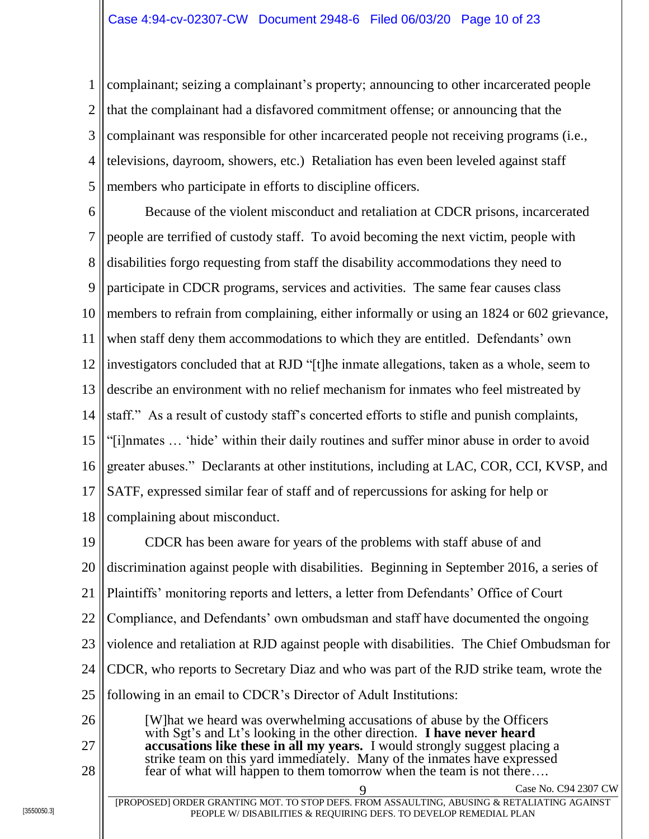1 2 3 4 5 complainant; seizing a complainant's property; announcing to other incarcerated people that the complainant had a disfavored commitment offense; or announcing that the complainant was responsible for other incarcerated people not receiving programs (i.e., televisions, dayroom, showers, etc.) Retaliation has even been leveled against staff members who participate in efforts to discipline officers.

6 7 8 9 10 11 12 13 14 15 16 17 18 Because of the violent misconduct and retaliation at CDCR prisons, incarcerated people are terrified of custody staff. To avoid becoming the next victim, people with disabilities forgo requesting from staff the disability accommodations they need to participate in CDCR programs, services and activities. The same fear causes class members to refrain from complaining, either informally or using an 1824 or 602 grievance, when staff deny them accommodations to which they are entitled. Defendants' own investigators concluded that at RJD "[t]he inmate allegations, taken as a whole, seem to describe an environment with no relief mechanism for inmates who feel mistreated by staff." As a result of custody staff's concerted efforts to stifle and punish complaints, "[i]nmates … 'hide' within their daily routines and suffer minor abuse in order to avoid greater abuses." Declarants at other institutions, including at LAC, COR, CCI, KVSP, and SATF, expressed similar fear of staff and of repercussions for asking for help or complaining about misconduct.

19 20 21 22 23 24 25 CDCR has been aware for years of the problems with staff abuse of and discrimination against people with disabilities. Beginning in September 2016, a series of Plaintiffs' monitoring reports and letters, a letter from Defendants' Office of Court Compliance, and Defendants' own ombudsman and staff have documented the ongoing violence and retaliation at RJD against people with disabilities. The Chief Ombudsman for CDCR, who reports to Secretary Diaz and who was part of the RJD strike team, wrote the following in an email to CDCR's Director of Adult Institutions:

26 27 28 [W]hat we heard was overwhelming accusations of abuse by the Officers with Sgt's and Lt's looking in the other direction. **I have never heard accusations like these in all my years.** I would strongly suggest placing a strike team on this yard immediately. Many of the inmates have expressed fear of what will happen to them tomorrow when the team is not there….

[3550050.3]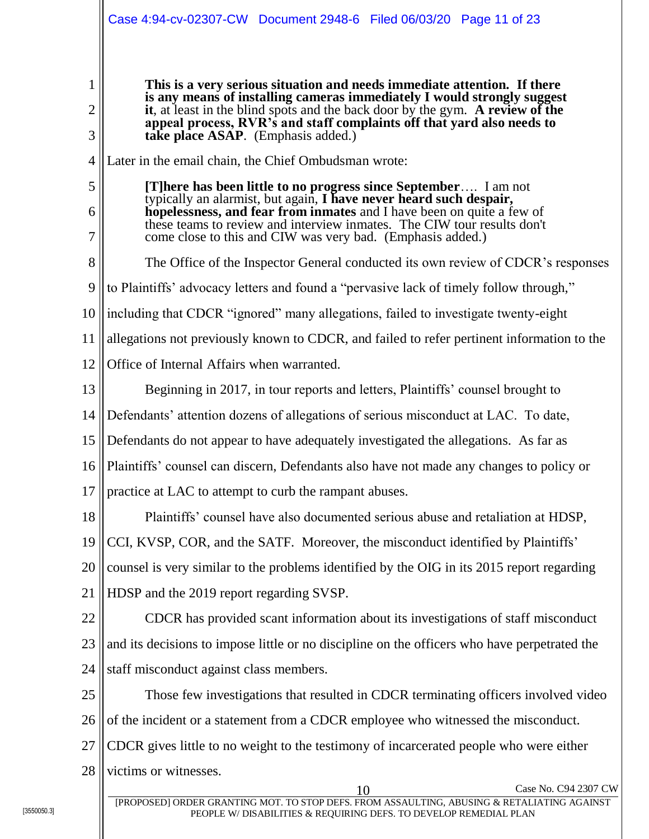|                | Case 4:94-cv-02307-CW  Document 2948-6  Filed 06/03/20  Page 11 of 23                                                                                                                                          |  |  |  |  |  |  |
|----------------|----------------------------------------------------------------------------------------------------------------------------------------------------------------------------------------------------------------|--|--|--|--|--|--|
|                |                                                                                                                                                                                                                |  |  |  |  |  |  |
| 1              | This is a very serious situation and needs immediate attention. If there<br>is any means of installing cameras immediately I would strongly suggest                                                            |  |  |  |  |  |  |
| $\overline{2}$ | it, at least in the blind spots and the back door by the gym. A review of the<br>appeal process, RVR's and staff complaints off that yard also needs to                                                        |  |  |  |  |  |  |
| 3              | take place ASAP. (Emphasis added.)                                                                                                                                                                             |  |  |  |  |  |  |
| 4              | Later in the email chain, the Chief Ombudsman wrote:                                                                                                                                                           |  |  |  |  |  |  |
| 5              | <b>[T]here has been little to no progress since September</b> I am not<br>typically an alarmist, but again, I have never heard such despair,                                                                   |  |  |  |  |  |  |
| 6<br>7         | hopelessness, and fear from inmates and I have been on quite a few of<br>these teams to review and interview inmates. The CIW tour results don't<br>come close to this and CIW was very bad. (Emphasis added.) |  |  |  |  |  |  |
| 8              | The Office of the Inspector General conducted its own review of CDCR's responses                                                                                                                               |  |  |  |  |  |  |
| 9              | to Plaintiffs' advocacy letters and found a "pervasive lack of timely follow through,"                                                                                                                         |  |  |  |  |  |  |
| 10             | including that CDCR "ignored" many allegations, failed to investigate twenty-eight                                                                                                                             |  |  |  |  |  |  |
| 11             | allegations not previously known to CDCR, and failed to refer pertinent information to the                                                                                                                     |  |  |  |  |  |  |
| 12             | Office of Internal Affairs when warranted.                                                                                                                                                                     |  |  |  |  |  |  |
| 13             | Beginning in 2017, in tour reports and letters, Plaintiffs' counsel brought to                                                                                                                                 |  |  |  |  |  |  |
| 14             | Defendants' attention dozens of allegations of serious misconduct at LAC. To date,                                                                                                                             |  |  |  |  |  |  |
| 15             | Defendants do not appear to have adequately investigated the allegations. As far as                                                                                                                            |  |  |  |  |  |  |
| 16             | Plaintiffs' counsel can discern, Defendants also have not made any changes to policy or                                                                                                                        |  |  |  |  |  |  |
| 17             | practice at LAC to attempt to curb the rampant abuses.                                                                                                                                                         |  |  |  |  |  |  |
| 18             | Plaintiffs' counsel have also documented serious abuse and retaliation at HDSP,                                                                                                                                |  |  |  |  |  |  |
| 19             | CCI, KVSP, COR, and the SATF. Moreover, the misconduct identified by Plaintiffs'                                                                                                                               |  |  |  |  |  |  |
| 20             | counsel is very similar to the problems identified by the OIG in its 2015 report regarding                                                                                                                     |  |  |  |  |  |  |
| 21             | HDSP and the 2019 report regarding SVSP.                                                                                                                                                                       |  |  |  |  |  |  |
| 22             | CDCR has provided scant information about its investigations of staff misconduct                                                                                                                               |  |  |  |  |  |  |
| 23             | and its decisions to impose little or no discipline on the officers who have perpetrated the                                                                                                                   |  |  |  |  |  |  |
| 24             | staff misconduct against class members.                                                                                                                                                                        |  |  |  |  |  |  |
| 25             | Those few investigations that resulted in CDCR terminating officers involved video                                                                                                                             |  |  |  |  |  |  |
| 26             | of the incident or a statement from a CDCR employee who witnessed the misconduct.                                                                                                                              |  |  |  |  |  |  |
| 27             | CDCR gives little to no weight to the testimony of incarcerated people who were either                                                                                                                         |  |  |  |  |  |  |
| 28             | victims or witnesses.                                                                                                                                                                                          |  |  |  |  |  |  |
|                | Case No. C94 2307 CW<br><b>IPPOPOSEDI OPDER GRANTING MOT TO STOP DEES</b><br>ARHEIMC & DETAILATING AGAINET                                                                                                     |  |  |  |  |  |  |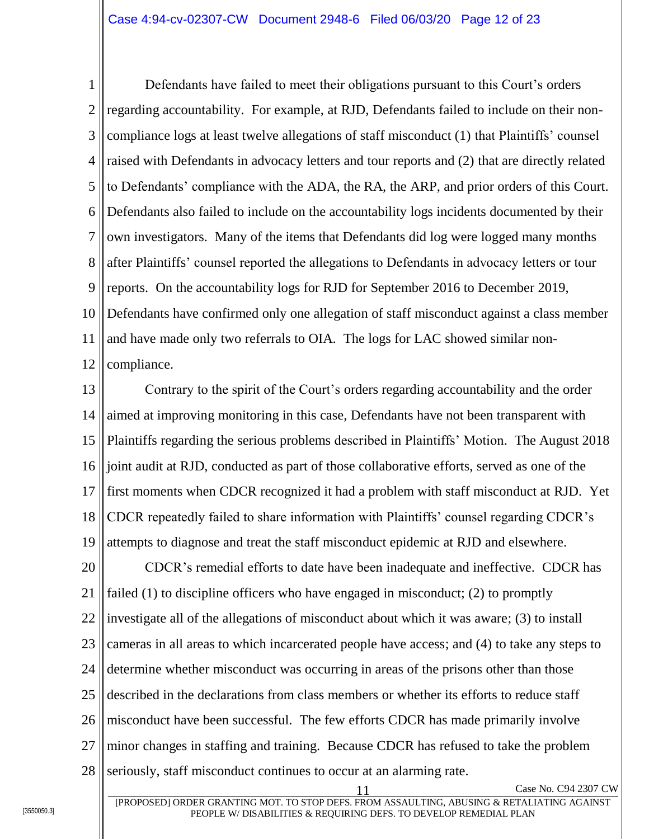1 2 3 4 5 6 7 8 9 10 11 12 Defendants have failed to meet their obligations pursuant to this Court's orders regarding accountability. For example, at RJD, Defendants failed to include on their noncompliance logs at least twelve allegations of staff misconduct (1) that Plaintiffs' counsel raised with Defendants in advocacy letters and tour reports and (2) that are directly related to Defendants' compliance with the ADA, the RA, the ARP, and prior orders of this Court. Defendants also failed to include on the accountability logs incidents documented by their own investigators. Many of the items that Defendants did log were logged many months after Plaintiffs' counsel reported the allegations to Defendants in advocacy letters or tour reports. On the accountability logs for RJD for September 2016 to December 2019, Defendants have confirmed only one allegation of staff misconduct against a class member and have made only two referrals to OIA. The logs for LAC showed similar noncompliance.

13 14 15 16 17 18 19 Contrary to the spirit of the Court's orders regarding accountability and the order aimed at improving monitoring in this case, Defendants have not been transparent with Plaintiffs regarding the serious problems described in Plaintiffs' Motion. The August 2018 joint audit at RJD, conducted as part of those collaborative efforts, served as one of the first moments when CDCR recognized it had a problem with staff misconduct at RJD. Yet CDCR repeatedly failed to share information with Plaintiffs' counsel regarding CDCR's attempts to diagnose and treat the staff misconduct epidemic at RJD and elsewhere.

20 21 22 23 24 25 26 27 28 CDCR's remedial efforts to date have been inadequate and ineffective. CDCR has failed (1) to discipline officers who have engaged in misconduct; (2) to promptly investigate all of the allegations of misconduct about which it was aware; (3) to install cameras in all areas to which incarcerated people have access; and (4) to take any steps to determine whether misconduct was occurring in areas of the prisons other than those described in the declarations from class members or whether its efforts to reduce staff misconduct have been successful. The few efforts CDCR has made primarily involve minor changes in staffing and training. Because CDCR has refused to take the problem seriously, staff misconduct continues to occur at an alarming rate.

Case No. C94 2307 CW

[PROPOSED] ORDER GRANTING MOT. TO STOP DEFS. FROM ASSAULTING, ABUSING & RETALIATING AGAINST PEOPLE W/ DISABILITIES & REQUIRING DEFS. TO DEVELOP REMEDIAL PLAN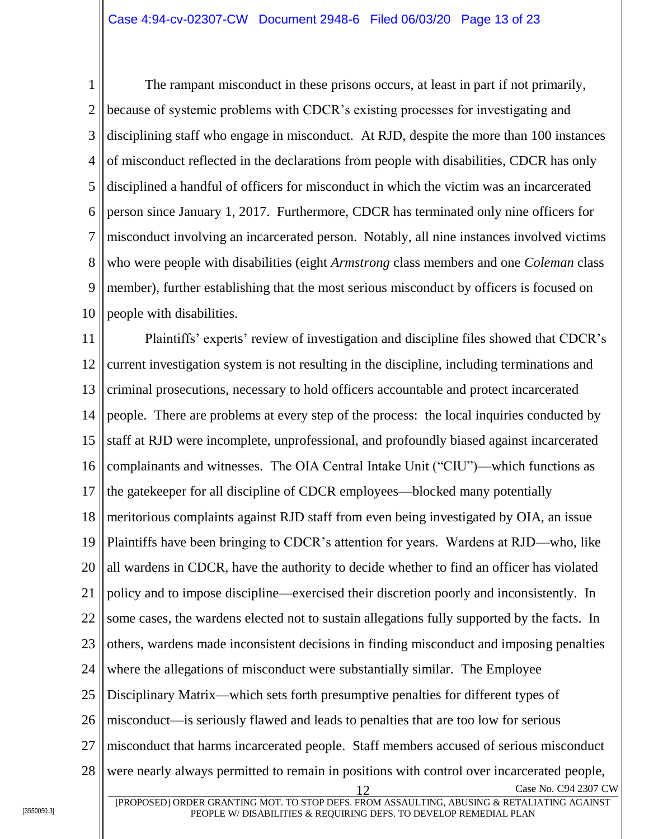1 2 3 4 5 6 7 8 9 10 The rampant misconduct in these prisons occurs, at least in part if not primarily, because of systemic problems with CDCR's existing processes for investigating and disciplining staff who engage in misconduct. At RJD, despite the more than 100 instances of misconduct reflected in the declarations from people with disabilities, CDCR has only disciplined a handful of officers for misconduct in which the victim was an incarcerated person since January 1, 2017. Furthermore, CDCR has terminated only nine officers for misconduct involving an incarcerated person. Notably, all nine instances involved victims who were people with disabilities (eight *Armstrong* class members and one *Coleman* class member), further establishing that the most serious misconduct by officers is focused on people with disabilities.

11 12 13 14 15 16 17 18 19 20 21 22 23 24 25 26 27 28 12 Case No. C94 2307 CW [PROPOSED] ORDER GRANTING MOT. TO STOP DEFS. FROM ASSAULTING, ABUSING & RETALIATING AGAINST Plaintiffs' experts' review of investigation and discipline files showed that CDCR's current investigation system is not resulting in the discipline, including terminations and criminal prosecutions, necessary to hold officers accountable and protect incarcerated people. There are problems at every step of the process: the local inquiries conducted by staff at RJD were incomplete, unprofessional, and profoundly biased against incarcerated complainants and witnesses. The OIA Central Intake Unit ("CIU")—which functions as the gatekeeper for all discipline of CDCR employees—blocked many potentially meritorious complaints against RJD staff from even being investigated by OIA, an issue Plaintiffs have been bringing to CDCR's attention for years. Wardens at RJD—who, like all wardens in CDCR, have the authority to decide whether to find an officer has violated policy and to impose discipline—exercised their discretion poorly and inconsistently. In some cases, the wardens elected not to sustain allegations fully supported by the facts. In others, wardens made inconsistent decisions in finding misconduct and imposing penalties where the allegations of misconduct were substantially similar. The Employee Disciplinary Matrix—which sets forth presumptive penalties for different types of misconduct—is seriously flawed and leads to penalties that are too low for serious misconduct that harms incarcerated people. Staff members accused of serious misconduct were nearly always permitted to remain in positions with control over incarcerated people,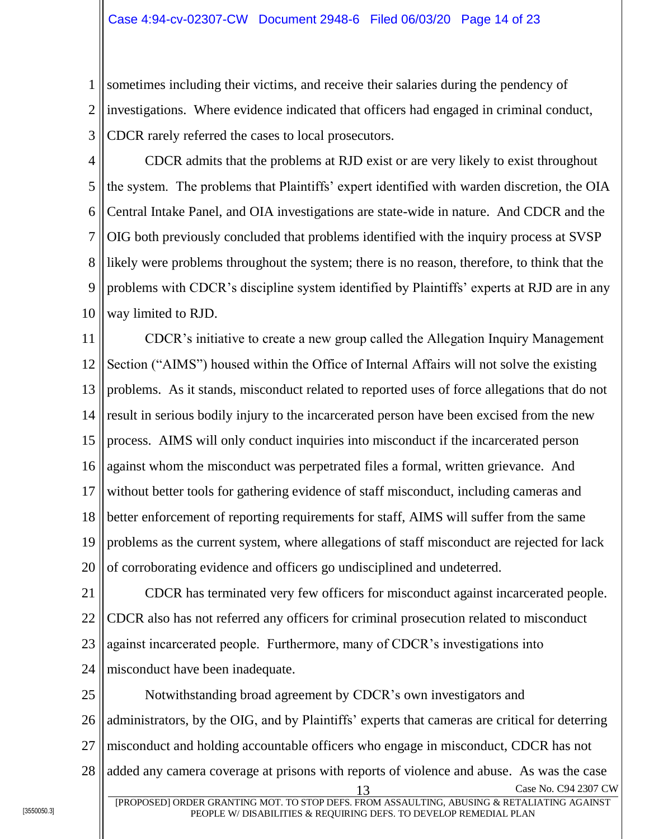1 2 sometimes including their victims, and receive their salaries during the pendency of investigations. Where evidence indicated that officers had engaged in criminal conduct, CDCR rarely referred the cases to local prosecutors.

3

4 5 6 7 8 9 10 CDCR admits that the problems at RJD exist or are very likely to exist throughout the system. The problems that Plaintiffs' expert identified with warden discretion, the OIA Central Intake Panel, and OIA investigations are state-wide in nature. And CDCR and the OIG both previously concluded that problems identified with the inquiry process at SVSP likely were problems throughout the system; there is no reason, therefore, to think that the problems with CDCR's discipline system identified by Plaintiffs' experts at RJD are in any way limited to RJD.

11 12 13 14 15 16 17 18 19 20 CDCR's initiative to create a new group called the Allegation Inquiry Management Section ("AIMS") housed within the Office of Internal Affairs will not solve the existing problems. As it stands, misconduct related to reported uses of force allegations that do not result in serious bodily injury to the incarcerated person have been excised from the new process. AIMS will only conduct inquiries into misconduct if the incarcerated person against whom the misconduct was perpetrated files a formal, written grievance. And without better tools for gathering evidence of staff misconduct, including cameras and better enforcement of reporting requirements for staff, AIMS will suffer from the same problems as the current system, where allegations of staff misconduct are rejected for lack of corroborating evidence and officers go undisciplined and undeterred.

21 22 23 24 CDCR has terminated very few officers for misconduct against incarcerated people. CDCR also has not referred any officers for criminal prosecution related to misconduct against incarcerated people. Furthermore, many of CDCR's investigations into misconduct have been inadequate.

25 26 27 28 Case No. C94 2307 CW [PROPOSED] ORDER GRANTING MOT. TO STOP DEFS. FROM ASSAULTING, ABUSING & RETALIATING AGAINST PEOPLE W/ DISABILITIES & REQUIRING DEFS. TO DEVELOP REMEDIAL PLAN Notwithstanding broad agreement by CDCR's own investigators and administrators, by the OIG, and by Plaintiffs' experts that cameras are critical for deterring misconduct and holding accountable officers who engage in misconduct, CDCR has not added any camera coverage at prisons with reports of violence and abuse. As was the case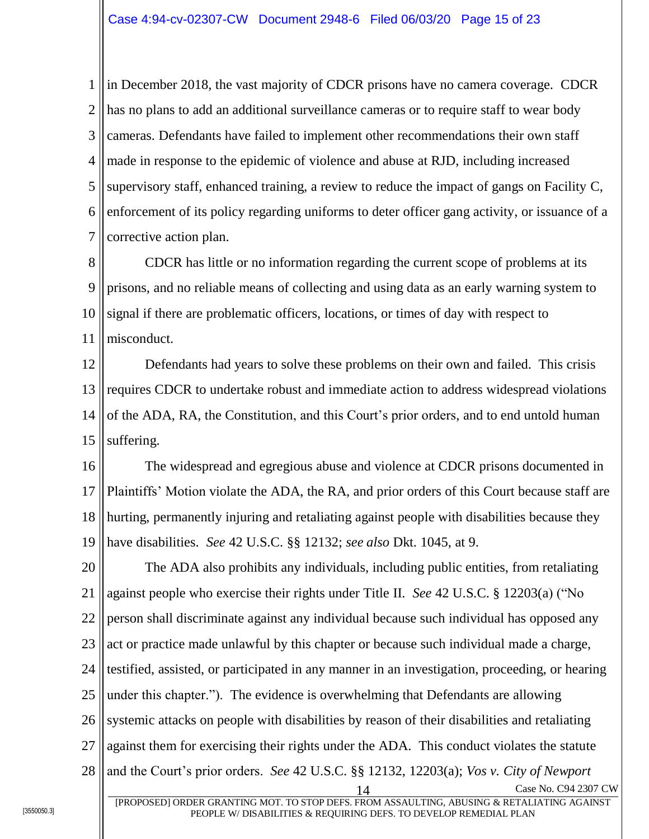1 2 3 4 5 6 7 in December 2018, the vast majority of CDCR prisons have no camera coverage. CDCR has no plans to add an additional surveillance cameras or to require staff to wear body cameras. Defendants have failed to implement other recommendations their own staff made in response to the epidemic of violence and abuse at RJD, including increased supervisory staff, enhanced training, a review to reduce the impact of gangs on Facility C, enforcement of its policy regarding uniforms to deter officer gang activity, or issuance of a corrective action plan.

8 9 10 11 CDCR has little or no information regarding the current scope of problems at its prisons, and no reliable means of collecting and using data as an early warning system to signal if there are problematic officers, locations, or times of day with respect to misconduct.

12 13 14 15 Defendants had years to solve these problems on their own and failed. This crisis requires CDCR to undertake robust and immediate action to address widespread violations of the ADA, RA, the Constitution, and this Court's prior orders, and to end untold human suffering.

16 17 18 19 The widespread and egregious abuse and violence at CDCR prisons documented in Plaintiffs' Motion violate the ADA, the RA, and prior orders of this Court because staff are hurting, permanently injuring and retaliating against people with disabilities because they have disabilities. *See* 42 U.S.C. §§ 12132; *see also* Dkt. 1045, at 9.

20 21 22 23 24 25 26 27 28 Case No. C94 2307 CW The ADA also prohibits any individuals, including public entities, from retaliating against people who exercise their rights under Title II. *See* 42 U.S.C. § 12203(a) ("No person shall discriminate against any individual because such individual has opposed any act or practice made unlawful by this chapter or because such individual made a charge, testified, assisted, or participated in any manner in an investigation, proceeding, or hearing under this chapter."). The evidence is overwhelming that Defendants are allowing systemic attacks on people with disabilities by reason of their disabilities and retaliating against them for exercising their rights under the ADA. This conduct violates the statute and the Court's prior orders. *See* 42 U.S.C. §§ 12132, 12203(a); *Vos v. City of Newport*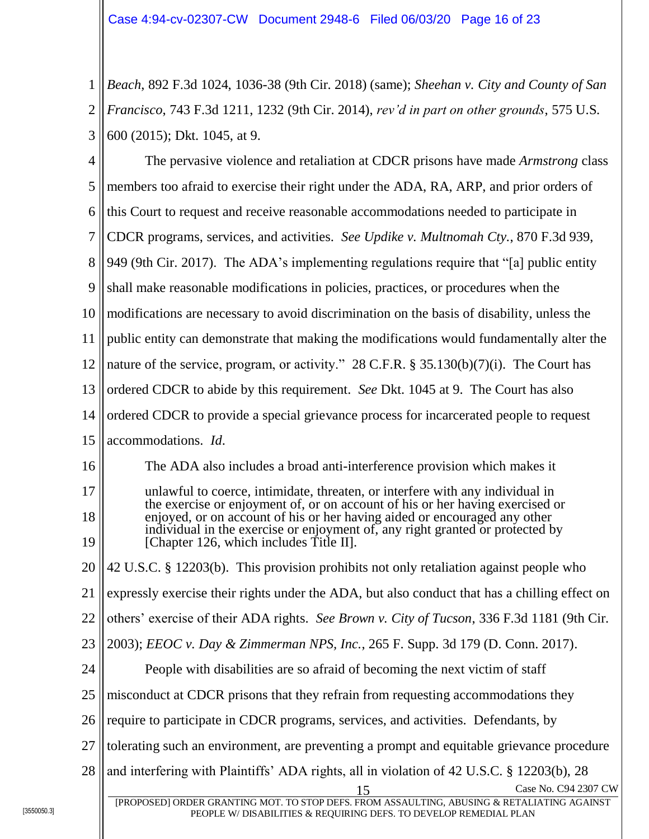1 2 3 *Beach*, 892 F.3d 1024, 1036-38 (9th Cir. 2018) (same); *Sheehan v. City and County of San Francisco*, 743 F.3d 1211, 1232 (9th Cir. 2014), *rev'd in part on other grounds*, 575 U.S. 600 (2015); Dkt. 1045, at 9.

- 4 5 6 7 8 9 10 11 12 13 14 15 16 17 18 19 20 21 22 23 24 25 26 The pervasive violence and retaliation at CDCR prisons have made *Armstrong* class members too afraid to exercise their right under the ADA, RA, ARP, and prior orders of this Court to request and receive reasonable accommodations needed to participate in CDCR programs, services, and activities. *See Updike v. Multnomah Cty.*, 870 F.3d 939, 949 (9th Cir. 2017). The ADA's implementing regulations require that "[a] public entity shall make reasonable modifications in policies, practices, or procedures when the modifications are necessary to avoid discrimination on the basis of disability, unless the public entity can demonstrate that making the modifications would fundamentally alter the nature of the service, program, or activity." 28 C.F.R. § 35.130(b)(7)(i). The Court has ordered CDCR to abide by this requirement. *See* Dkt. 1045 at 9. The Court has also ordered CDCR to provide a special grievance process for incarcerated people to request accommodations. *Id*. The ADA also includes a broad anti-interference provision which makes it unlawful to coerce, intimidate, threaten, or interfere with any individual in the exercise or enjoyment of, or on account of his or her having exercised or enjoyed, or on account of his or her having aided or encouraged any other individual in the exercise or enjoyment of, any right granted or protected by [Chapter 126, which includes Title II]. 42 U.S.C. § 12203(b). This provision prohibits not only retaliation against people who expressly exercise their rights under the ADA, but also conduct that has a chilling effect on others' exercise of their ADA rights. *See Brown v. City of Tucson*, 336 F.3d 1181 (9th Cir. 2003); *EEOC v. Day & Zimmerman NPS, Inc.*, 265 F. Supp. 3d 179 (D. Conn. 2017). People with disabilities are so afraid of becoming the next victim of staff misconduct at CDCR prisons that they refrain from requesting accommodations they require to participate in CDCR programs, services, and activities. Defendants, by
- 27 tolerating such an environment, are preventing a prompt and equitable grievance procedure
- 28 and interfering with Plaintiffs' ADA rights, all in violation of 42 U.S.C. § 12203(b), 28

Case No. C94 2307 CW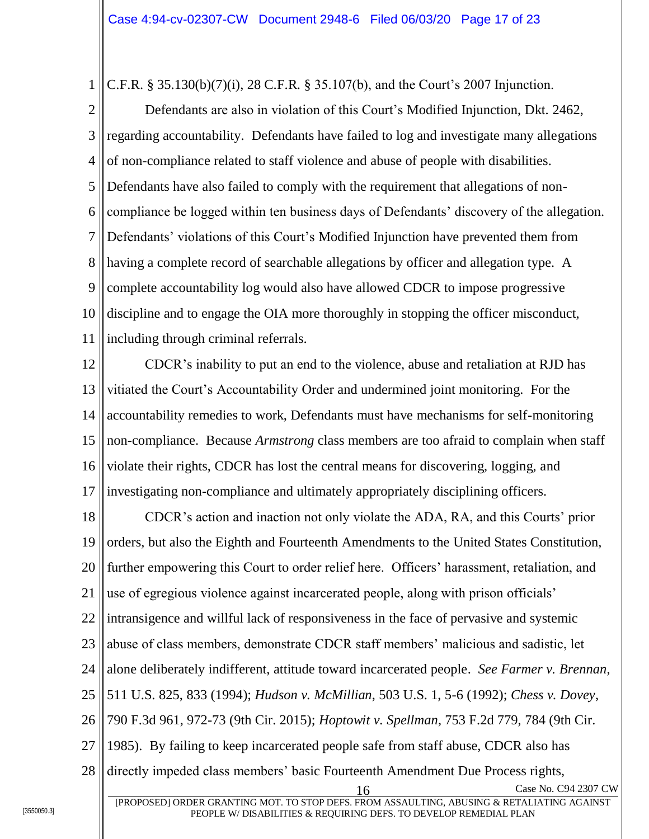1 C.F.R. § 35.130(b)(7)(i), 28 C.F.R. § 35.107(b), and the Court's 2007 Injunction.

2 3 4 5 6 7 8 9 10 11 Defendants are also in violation of this Court's Modified Injunction, Dkt. 2462, regarding accountability. Defendants have failed to log and investigate many allegations of non-compliance related to staff violence and abuse of people with disabilities. Defendants have also failed to comply with the requirement that allegations of noncompliance be logged within ten business days of Defendants' discovery of the allegation. Defendants' violations of this Court's Modified Injunction have prevented them from having a complete record of searchable allegations by officer and allegation type. A complete accountability log would also have allowed CDCR to impose progressive discipline and to engage the OIA more thoroughly in stopping the officer misconduct, including through criminal referrals.

12 13 14 15 16 17 CDCR's inability to put an end to the violence, abuse and retaliation at RJD has vitiated the Court's Accountability Order and undermined joint monitoring. For the accountability remedies to work, Defendants must have mechanisms for self-monitoring non-compliance. Because *Armstrong* class members are too afraid to complain when staff violate their rights, CDCR has lost the central means for discovering, logging, and investigating non-compliance and ultimately appropriately disciplining officers.

18 19 20 21 22 23 24 25 26 27 28 Case No. C94 2307 CW CDCR's action and inaction not only violate the ADA, RA, and this Courts' prior orders, but also the Eighth and Fourteenth Amendments to the United States Constitution, further empowering this Court to order relief here. Officers' harassment, retaliation, and use of egregious violence against incarcerated people, along with prison officials' intransigence and willful lack of responsiveness in the face of pervasive and systemic abuse of class members, demonstrate CDCR staff members' malicious and sadistic, let alone deliberately indifferent, attitude toward incarcerated people. *See Farmer v. Brennan*, 511 U.S. 825, 833 (1994); *Hudson v. McMillian*, 503 U.S. 1, 5-6 (1992); *Chess v. Dovey*, 790 F.3d 961, 972-73 (9th Cir. 2015); *Hoptowit v. Spellman*, 753 F.2d 779, 784 (9th Cir. 1985). By failing to keep incarcerated people safe from staff abuse, CDCR also has directly impeded class members' basic Fourteenth Amendment Due Process rights,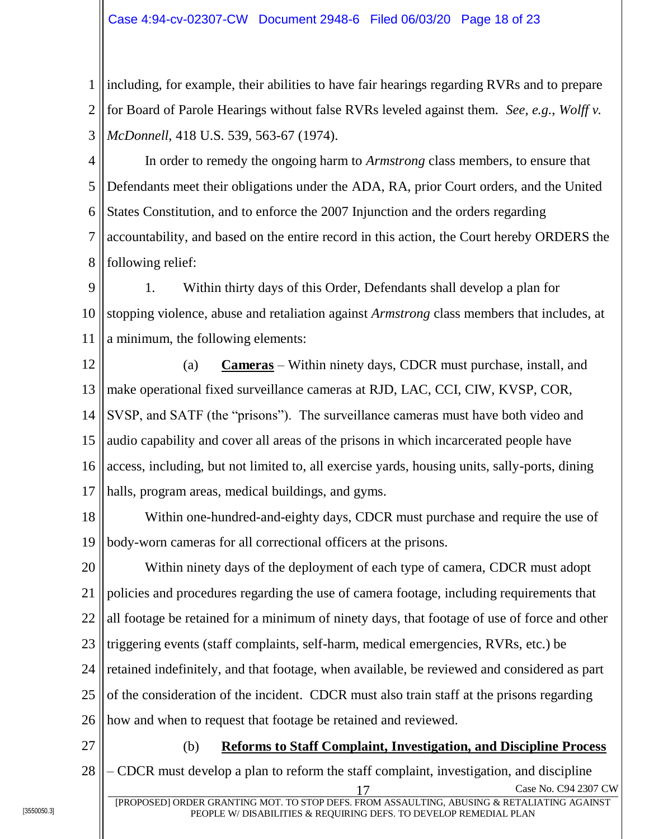## Case 4:94-cv-02307-CW Document 2948-6 Filed 06/03/20 Page 18 of 23

1 2 3 including, for example, their abilities to have fair hearings regarding RVRs and to prepare for Board of Parole Hearings without false RVRs leveled against them. *See, e.g.*, *Wolff v. McDonnell*, 418 U.S. 539, 563-67 (1974).

4 5 6 7 8 In order to remedy the ongoing harm to *Armstrong* class members, to ensure that Defendants meet their obligations under the ADA, RA, prior Court orders, and the United States Constitution, and to enforce the 2007 Injunction and the orders regarding accountability, and based on the entire record in this action, the Court hereby ORDERS the following relief:

9 10 11 1. Within thirty days of this Order, Defendants shall develop a plan for stopping violence, abuse and retaliation against *Armstrong* class members that includes, at a minimum, the following elements:

12 13 14 15 16 17 (a) **Cameras** – Within ninety days, CDCR must purchase, install, and make operational fixed surveillance cameras at RJD, LAC, CCI, CIW, KVSP, COR, SVSP, and SATF (the "prisons"). The surveillance cameras must have both video and audio capability and cover all areas of the prisons in which incarcerated people have access, including, but not limited to, all exercise yards, housing units, sally-ports, dining halls, program areas, medical buildings, and gyms.

18 19 Within one-hundred-and-eighty days, CDCR must purchase and require the use of body-worn cameras for all correctional officers at the prisons.

20 21 22 23 24 25 26 Within ninety days of the deployment of each type of camera, CDCR must adopt policies and procedures regarding the use of camera footage, including requirements that all footage be retained for a minimum of ninety days, that footage of use of force and other triggering events (staff complaints, self-harm, medical emergencies, RVRs, etc.) be retained indefinitely, and that footage, when available, be reviewed and considered as part of the consideration of the incident. CDCR must also train staff at the prisons regarding how and when to request that footage be retained and reviewed.

27

## (b) **Reforms to Staff Complaint, Investigation, and Discipline Process**

28 Case No. C94 2307 CW – CDCR must develop a plan to reform the staff complaint, investigation, and discipline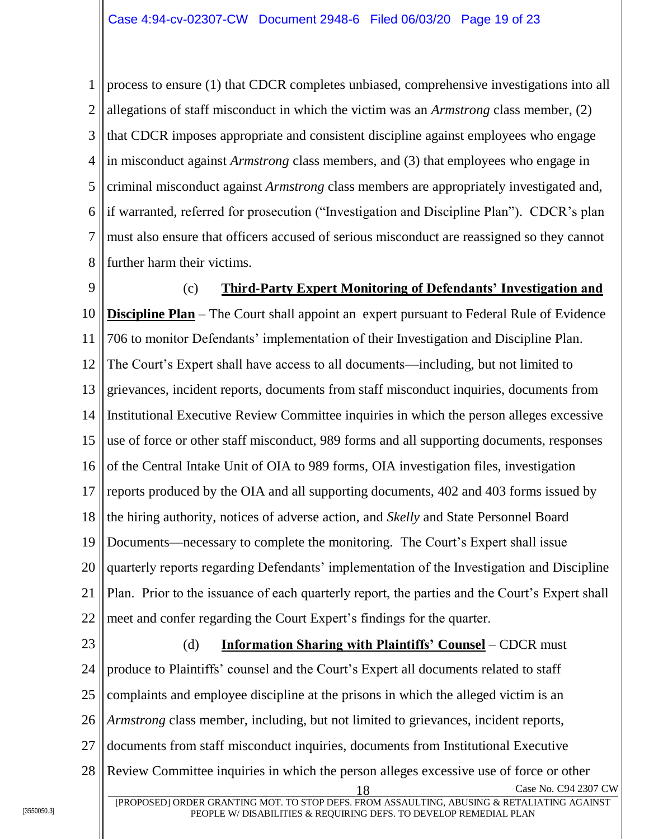1 2 3 4 5 6 7 8 process to ensure (1) that CDCR completes unbiased, comprehensive investigations into all allegations of staff misconduct in which the victim was an *Armstrong* class member, (2) that CDCR imposes appropriate and consistent discipline against employees who engage in misconduct against *Armstrong* class members, and (3) that employees who engage in criminal misconduct against *Armstrong* class members are appropriately investigated and, if warranted, referred for prosecution ("Investigation and Discipline Plan"). CDCR's plan must also ensure that officers accused of serious misconduct are reassigned so they cannot further harm their victims.

9 10 11 12 13 14 15 16 17 18 19 20 21 22 (c) **Third-Party Expert Monitoring of Defendants' Investigation and Discipline Plan** – The Court shall appoint an expert pursuant to Federal Rule of Evidence 706 to monitor Defendants' implementation of their Investigation and Discipline Plan. The Court's Expert shall have access to all documents—including, but not limited to grievances, incident reports, documents from staff misconduct inquiries, documents from Institutional Executive Review Committee inquiries in which the person alleges excessive use of force or other staff misconduct, 989 forms and all supporting documents, responses of the Central Intake Unit of OIA to 989 forms, OIA investigation files, investigation reports produced by the OIA and all supporting documents, 402 and 403 forms issued by the hiring authority, notices of adverse action, and *Skelly* and State Personnel Board Documents—necessary to complete the monitoring. The Court's Expert shall issue quarterly reports regarding Defendants' implementation of the Investigation and Discipline Plan. Prior to the issuance of each quarterly report, the parties and the Court's Expert shall meet and confer regarding the Court Expert's findings for the quarter.

23 24 25 26 27 28 Case No. C94 2307 CW [PROPOSED] ORDER GRANTING MOT. TO STOP DEFS. FROM ASSAULTING, ABUSING & RETALIATING AGAINST (d) **Information Sharing with Plaintiffs' Counsel** – CDCR must produce to Plaintiffs' counsel and the Court's Expert all documents related to staff complaints and employee discipline at the prisons in which the alleged victim is an *Armstrong* class member, including, but not limited to grievances, incident reports, documents from staff misconduct inquiries, documents from Institutional Executive Review Committee inquiries in which the person alleges excessive use of force or other

PEOPLE W/ DISABILITIES & REQUIRING DEFS. TO DEVELOP REMEDIAL PLAN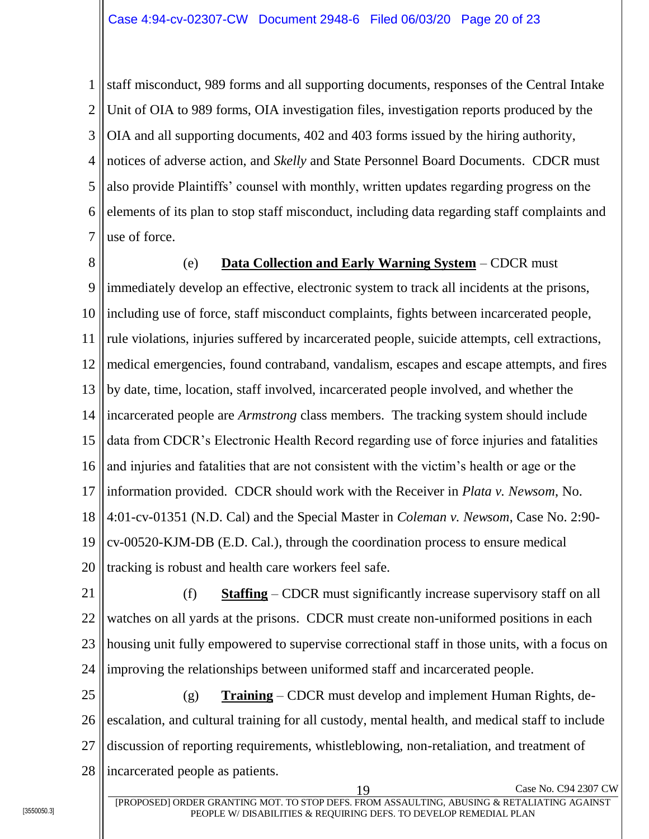1 2 3 4 5 6 7 staff misconduct, 989 forms and all supporting documents, responses of the Central Intake Unit of OIA to 989 forms, OIA investigation files, investigation reports produced by the OIA and all supporting documents, 402 and 403 forms issued by the hiring authority, notices of adverse action, and *Skelly* and State Personnel Board Documents. CDCR must also provide Plaintiffs' counsel with monthly, written updates regarding progress on the elements of its plan to stop staff misconduct, including data regarding staff complaints and use of force.

8 9 10 11 12 13 14 15 16 17 18 19 20 (e) **Data Collection and Early Warning System** – CDCR must immediately develop an effective, electronic system to track all incidents at the prisons, including use of force, staff misconduct complaints, fights between incarcerated people, rule violations, injuries suffered by incarcerated people, suicide attempts, cell extractions, medical emergencies, found contraband, vandalism, escapes and escape attempts, and fires by date, time, location, staff involved, incarcerated people involved, and whether the incarcerated people are *Armstrong* class members. The tracking system should include data from CDCR's Electronic Health Record regarding use of force injuries and fatalities and injuries and fatalities that are not consistent with the victim's health or age or the information provided. CDCR should work with the Receiver in *Plata v. Newsom*, No. 4:01-cv-01351 (N.D. Cal) and the Special Master in *Coleman v. Newsom*, Case No. 2:90 cv-00520-KJM-DB (E.D. Cal.), through the coordination process to ensure medical tracking is robust and health care workers feel safe.

21 22 23 24 (f) **Staffing** – CDCR must significantly increase supervisory staff on all watches on all yards at the prisons. CDCR must create non-uniformed positions in each housing unit fully empowered to supervise correctional staff in those units, with a focus on improving the relationships between uniformed staff and incarcerated people.

25 26 27 28 (g) **Training** – CDCR must develop and implement Human Rights, deescalation, and cultural training for all custody, mental health, and medical staff to include discussion of reporting requirements, whistleblowing, non-retaliation, and treatment of incarcerated people as patients.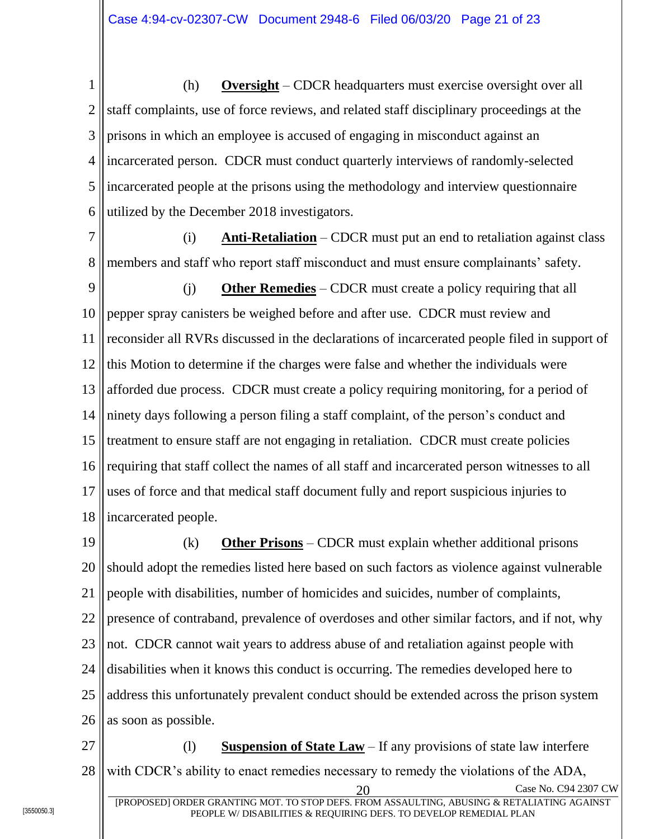1 2 3 4 5 6 (h) **Oversight** – CDCR headquarters must exercise oversight over all staff complaints, use of force reviews, and related staff disciplinary proceedings at the prisons in which an employee is accused of engaging in misconduct against an incarcerated person. CDCR must conduct quarterly interviews of randomly-selected incarcerated people at the prisons using the methodology and interview questionnaire utilized by the December 2018 investigators.

7 8 (i) **Anti-Retaliation** – CDCR must put an end to retaliation against class members and staff who report staff misconduct and must ensure complainants' safety.

9 10 11 12 13 14 15 16 17 18 (j) **Other Remedies** – CDCR must create a policy requiring that all pepper spray canisters be weighed before and after use. CDCR must review and reconsider all RVRs discussed in the declarations of incarcerated people filed in support of this Motion to determine if the charges were false and whether the individuals were afforded due process. CDCR must create a policy requiring monitoring, for a period of ninety days following a person filing a staff complaint, of the person's conduct and treatment to ensure staff are not engaging in retaliation. CDCR must create policies requiring that staff collect the names of all staff and incarcerated person witnesses to all uses of force and that medical staff document fully and report suspicious injuries to incarcerated people.

19 20 21 22 23 24 25 26 (k) **Other Prisons** – CDCR must explain whether additional prisons should adopt the remedies listed here based on such factors as violence against vulnerable people with disabilities, number of homicides and suicides, number of complaints, presence of contraband, prevalence of overdoses and other similar factors, and if not, why not. CDCR cannot wait years to address abuse of and retaliation against people with disabilities when it knows this conduct is occurring. The remedies developed here to address this unfortunately prevalent conduct should be extended across the prison system as soon as possible.

27 28 20 Case No. C94 2307 CW (l) **Suspension of State Law** – If any provisions of state law interfere with CDCR's ability to enact remedies necessary to remedy the violations of the ADA,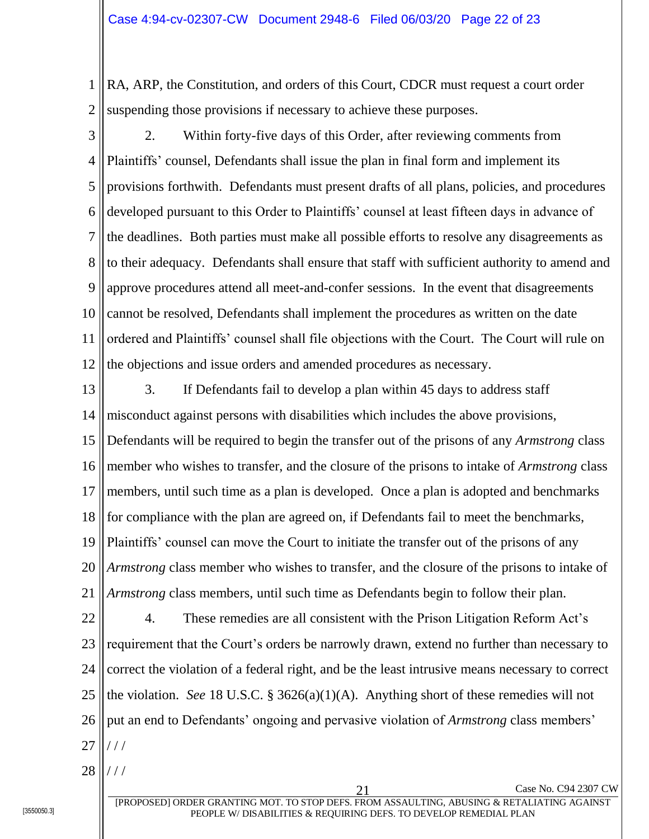1 2 RA, ARP, the Constitution, and orders of this Court, CDCR must request a court order suspending those provisions if necessary to achieve these purposes.

- 3 4 5 6 7 8 9 10 11 12 2. Within forty-five days of this Order, after reviewing comments from Plaintiffs' counsel, Defendants shall issue the plan in final form and implement its provisions forthwith. Defendants must present drafts of all plans, policies, and procedures developed pursuant to this Order to Plaintiffs' counsel at least fifteen days in advance of the deadlines. Both parties must make all possible efforts to resolve any disagreements as to their adequacy. Defendants shall ensure that staff with sufficient authority to amend and approve procedures attend all meet-and-confer sessions. In the event that disagreements cannot be resolved, Defendants shall implement the procedures as written on the date ordered and Plaintiffs' counsel shall file objections with the Court. The Court will rule on the objections and issue orders and amended procedures as necessary.
- 13 14 15 16 17 18 19 20 21 3. If Defendants fail to develop a plan within 45 days to address staff misconduct against persons with disabilities which includes the above provisions, Defendants will be required to begin the transfer out of the prisons of any *Armstrong* class member who wishes to transfer, and the closure of the prisons to intake of *Armstrong* class members, until such time as a plan is developed. Once a plan is adopted and benchmarks for compliance with the plan are agreed on, if Defendants fail to meet the benchmarks, Plaintiffs' counsel can move the Court to initiate the transfer out of the prisons of any *Armstrong* class member who wishes to transfer, and the closure of the prisons to intake of *Armstrong* class members, until such time as Defendants begin to follow their plan.

22 23 24 25 26 27 4. These remedies are all consistent with the Prison Litigation Reform Act's requirement that the Court's orders be narrowly drawn, extend no further than necessary to correct the violation of a federal right, and be the least intrusive means necessary to correct the violation. *See* 18 U.S.C. § 3626(a)(1)(A). Anything short of these remedies will not put an end to Defendants' ongoing and pervasive violation of *Armstrong* class members'  $1/$ 

28 / / /